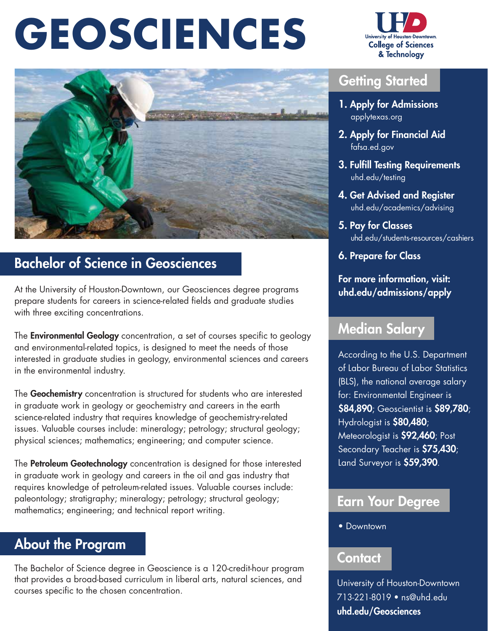# **GEOSCIENCES**



# Bachelor of Science in Geosciences

At the University of Houston-Downtown, our Geosciences degree programs prepare students for careers in science-related fields and graduate studies with three exciting concentrations.

The **Environmental Geology** concentration, a set of courses specific to geology and environmental-related topics, is designed to meet the needs of those interested in graduate studies in geology, environmental sciences and careers in the environmental industry.

The Geochemistry concentration is structured for students who are interested in graduate work in geology or geochemistry and careers in the earth science-related industry that requires knowledge of geochemistry-related issues. Valuable courses include: mineralogy; petrology; structural geology; physical sciences; mathematics; engineering; and computer science.

The **Petroleum Geotechnology** concentration is designed for those interested in graduate work in geology and careers in the oil and gas industry that requires knowledge of petroleum-related issues. Valuable courses include: paleontology; stratigraphy; mineralogy; petrology; structural geology; mathematics; engineering; and technical report writing.

# About the Program

The Bachelor of Science degree in Geoscience is a 120-credit-hour program that provides a broad-based curriculum in liberal arts, natural sciences, and that provides a broad-based curriculum in liberal arts, natural sciences, and University of Houston-Downtown<br>Courses specific to the chosen concentration. 713-221-8019 • [ns@uhd.edu](mailto:ns@uhd.edu)



## **Getting Started**

- 1. Apply for Admissions  [applytexas.org](https://applytexas.org)
- 2. Apply for Financial Aid  [fafsa.ed.gov](https://fafsa.ed.gov)
- 3. Fulfill Testing Requirements  [uhd.edu/testing](https://uhd.edu/testing)
- 4. Get Advised and Register  [uhd.edu/academics/advising](https://uhd.edu/academics/advising)
- 5. Pay for Classes [uhd.edu/students-resources/cashiers](https://uhd.edu/students-resources/cashiers)
- 6. Prepare for Class

For more information, visit: [uhd.edu/admissions/apply](https://uhd.edu/admissions/apply)

## Median Salary

According to the U.S. Department of Labor Bureau of Labor Statistics (BLS), the national average salary for: Environmental Engineer is \$84,890; Geoscientist is \$89,780; Hydrologist is \$80,480; Meteorologist is \$92,460; Post Secondary Teacher is \$75,430; Land Surveyor is \$59,390.

## Earn Your Degree

• Downtown

#### **Contact**

[uhd.edu/Geosciences](https://uhd.edu/Geosciences)